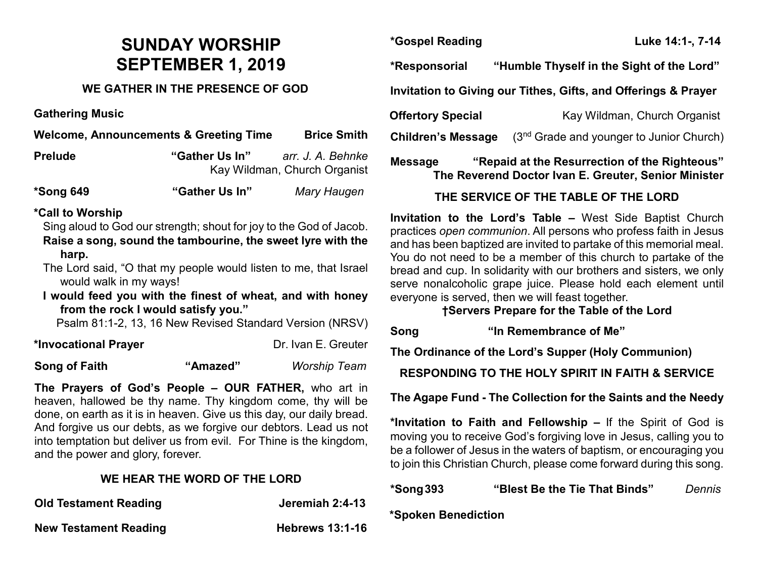# **SUNDAY WORSHIP SEPTEMBER 1, 2019**

#### **WE GATHER IN THE PRESENCE OF GOD**

**Gathering Music**

| <b>Welcome, Announcements &amp; Greeting Time</b><br><b>Brice Smith</b>                                                                                                                                                                                                                                                                                                                                                      |                                                                     |                     |
|------------------------------------------------------------------------------------------------------------------------------------------------------------------------------------------------------------------------------------------------------------------------------------------------------------------------------------------------------------------------------------------------------------------------------|---------------------------------------------------------------------|---------------------|
| <b>Prelude</b>                                                                                                                                                                                                                                                                                                                                                                                                               | "Gather Us In"<br>arr. J. A. Behnke<br>Kay Wildman, Church Organist |                     |
| *Song 649                                                                                                                                                                                                                                                                                                                                                                                                                    | "Gather Us In"                                                      | Mary Haugen         |
| *Call to Worship<br>Sing aloud to God our strength; shout for joy to the God of Jacob.<br>Raise a song, sound the tambourine, the sweet lyre with the<br>harp.<br>The Lord said, "O that my people would listen to me, that Israel<br>would walk in my ways!<br>I would feed you with the finest of wheat, and with honey<br>from the rock I would satisfy you."<br>Psalm 81:1-2, 13, 16 New Revised Standard Version (NRSV) |                                                                     |                     |
| *Invocational Prayer                                                                                                                                                                                                                                                                                                                                                                                                         |                                                                     | Dr. Ivan E. Greuter |
| Song of Faith                                                                                                                                                                                                                                                                                                                                                                                                                | "Amazed"                                                            | <b>Worship Team</b> |

**The Prayers of God's People – OUR FATHER,** who art in heaven, hallowed be thy name. Thy kingdom come, thy will be done, on earth as it is in heaven. Give us this day, our daily bread. And forgive us our debts, as we forgive our debtors. Lead us not into temptation but deliver us from evil. For Thine is the kingdom, and the power and glory, forever.

#### **WE HEAR THE WORD OF THE LORD**

| <b>Old Testament Reading</b> | Jeremiah 2:4-13        |
|------------------------------|------------------------|
| <b>New Testament Reading</b> | <b>Hebrews 13:1-16</b> |

**\*Gospel Reading Luke 14:1-, 7-14**

**\*Responsorial "Humble Thyself in the Sight of the Lord"** 

**Invitation to Giving our Tithes, Gifts, and Offerings & Prayer**

**Offertory Special** Kay Wildman, Church Organist

**Children's Message** (3<sup>nd</sup> Grade and younger to Junior Church)

**Message "Repaid at the Resurrection of the Righteous" The Reverend Doctor Ivan E. Greuter, Senior Minister**

### **THE SERVICE OF THE TABLE OF THE LORD**

**Invitation to the Lord's Table –** West Side Baptist Church practices *open communion*. All persons who profess faith in Jesus and has been baptized are invited to partake of this memorial meal. You do not need to be a member of this church to partake of the bread and cup. In solidarity with our brothers and sisters, we only serve nonalcoholic grape juice. Please hold each element until everyone is served, then we will feast together.

#### **†Servers Prepare for the Table of the Lord**

**Song "In Remembrance of Me"** 

**The Ordinance of the Lord's Supper (Holy Communion)**

**RESPONDING TO THE HOLY SPIRIT IN FAITH & SERVICE**

**The Agape Fund - The Collection for the Saints and the Needy**

**\*Invitation to Faith and Fellowship –** If the Spirit of God is moving you to receive God's forgiving love in Jesus, calling you to be a follower of Jesus in the waters of baptism, or encouraging you to join this Christian Church, please come forward during this song.

## **\*Song393 "Blest Be the Tie That Binds"** *Dennis*

**\*Spoken Benediction**